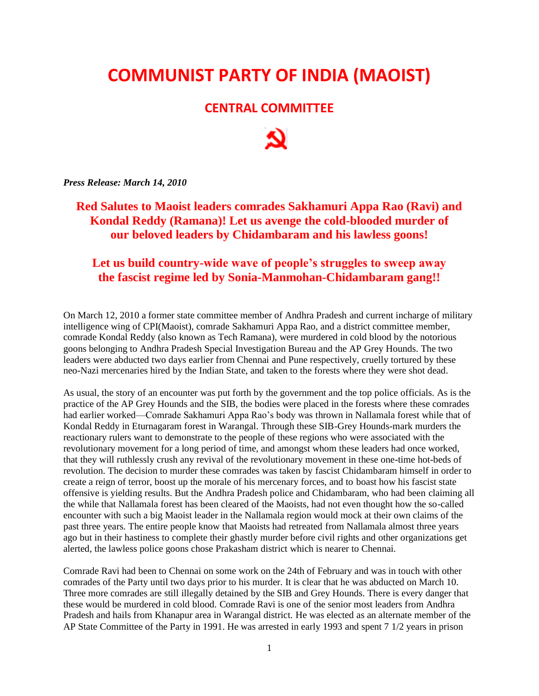# **COMMUNIST PARTY OF INDIA (MAOIST)**

#### **CENTRAL COMMITTEE**



*Press Release: March 14, 2010*

### **Red Salutes to Maoist leaders comrades Sakhamuri Appa Rao (Ravi) and Kondal Reddy (Ramana)! Let us avenge the cold-blooded murder of our beloved leaders by Chidambaram and his lawless goons!**

## **Let us build country-wide wave of people's struggles to sweep away the fascist regime led by Sonia-Manmohan-Chidambaram gang!!**

On March 12, 2010 a former state committee member of Andhra Pradesh and current incharge of military intelligence wing of CPI(Maoist), comrade Sakhamuri Appa Rao, and a district committee member, comrade Kondal Reddy (also known as Tech Ramana), were murdered in cold blood by the notorious goons belonging to Andhra Pradesh Special Investigation Bureau and the AP Grey Hounds. The two leaders were abducted two days earlier from Chennai and Pune respectively, cruelly tortured by these neo-Nazi mercenaries hired by the Indian State, and taken to the forests where they were shot dead.

As usual, the story of an encounter was put forth by the government and the top police officials. As is the practice of the AP Grey Hounds and the SIB, the bodies were placed in the forests where these comrades had earlier worked—Comrade Sakhamuri Appa Rao's body was thrown in Nallamala forest while that of Kondal Reddy in Eturnagaram forest in Warangal. Through these SIB-Grey Hounds-mark murders the reactionary rulers want to demonstrate to the people of these regions who were associated with the revolutionary movement for a long period of time, and amongst whom these leaders had once worked, that they will ruthlessly crush any revival of the revolutionary movement in these one-time hot-beds of revolution. The decision to murder these comrades was taken by fascist Chidambaram himself in order to create a reign of terror, boost up the morale of his mercenary forces, and to boast how his fascist state offensive is yielding results. But the Andhra Pradesh police and Chidambaram, who had been claiming all the while that Nallamala forest has been cleared of the Maoists, had not even thought how the so-called encounter with such a big Maoist leader in the Nallamala region would mock at their own claims of the past three years. The entire people know that Maoists had retreated from Nallamala almost three years ago but in their hastiness to complete their ghastly murder before civil rights and other organizations get alerted, the lawless police goons chose Prakasham district which is nearer to Chennai.

Comrade Ravi had been to Chennai on some work on the 24th of February and was in touch with other comrades of the Party until two days prior to his murder. It is clear that he was abducted on March 10. Three more comrades are still illegally detained by the SIB and Grey Hounds. There is every danger that these would be murdered in cold blood. Comrade Ravi is one of the senior most leaders from Andhra Pradesh and hails from Khanapur area in Warangal district. He was elected as an alternate member of the AP State Committee of the Party in 1991. He was arrested in early 1993 and spent 7 1/2 years in prison